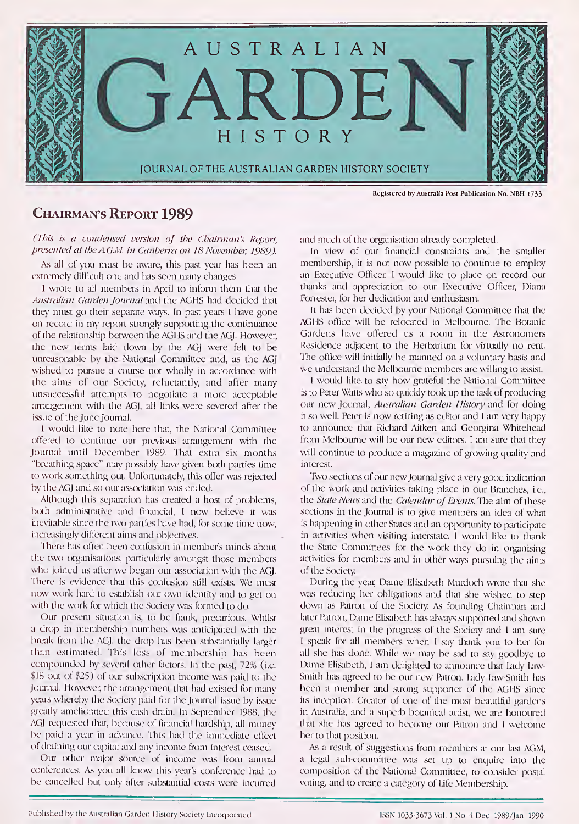

## CHAIRMAN'S REPORT 1989

(This is a condensed version of the Chairman's Report, presented at the AG.M. in Canberra on 18 November, 1989).

As all of you must be aware, this past year has been an extremely difficult one and has seen many changes.

<sup>1</sup> wrote to all members in April to inform them that the Australian Garden Journal and the AGHS had decided that they must go their separate ways. In past years <sup>I</sup> have gone on record in my report strongly supporting the continuance of the relationship between the AGHS and the AGJ. However, the new terms laid down by the AGJ were felt to be unreasonable by the National Committee and, as the AGJ wished to pursue a course not wholly in accordance with the aims of our Society, reluctantly, and after many unsuccessful attempts to negotiate a more acceptable arrangement with the AGJ, all links were severed after the issue of the June Journal.

<sup>I</sup> would like to note here that, the National Committee offered to continue our previous arrangement with the Journal until December 1989. That extra six months "breathing space" may possibly have given both parties time to work something out. Unfortunately, this offer was rejected by the AGJ and so our association was ended.

Although this separation has created a host of problems, both administrative and financial, <sup>1</sup> now believe it was inevitable since the two parties have had, for some time now, increasingly different aims and objectives.

There has often been confusion in member's minds about the two organisations, particularly amongst those members who joined us after we began our association with the AGJ. There is evidence that this confusion still exists. We must now work hard to establish our own identity and to get on with the work for which the Society was formed to do.

Our present situation is, to be frank, precarious. Whilst a drop in membership numbers was anticipated with the break from the AGJ, the drop has been substantially larger than estimated. This loss of membership has been compounded by several other factors. In the past, 72% (i.e. \$18 out of \$25) of our subscription income was paid to the Journal. However, the arrangement that had existed for many years whereby the Society paid for the Journal issue by issue greatly ameliorated this cash drain. In September 1988, the AGJ requested that, because of financial hardship, all money be paid a year in advance. This had the immediate effect of draining our capital and any income from interest ceased.

Our other major source of income was from annual conferences. As you all know this year's conference had to be cancelled but only after substantial costs were incurred and much of the organisation already completed.

In view of our financial constraints and the smaller membership, it is not now possible to continue to employ an Executive Officer. <sup>I</sup> would like to place on record our thanks and appreciation to our Executive Officer, Diana Forrester, for her dedication and enthusiasm.

It has been decided by your National Committee that the AGHS office will be relocated in Melbourne. The Botanic Gardens have offered us a room in the Astronomers Residence adjacent to the Herbarium for virtually no rent. The office will initially be manned on a voluntary basis and we understand the Melbourne members are willing to assist.

<sup>I</sup> would like to say how grateful the National Committee is to Peter Watts who so quickly took up the task of producing our new Journal, Australian Garden History and for doing it so well. Peter is now retiring as editor and <sup>I</sup> am very happy to announce that Richard Aitken and Georgina Whitehead from Melbourne will be our new editors. <sup>I</sup> am sure that they will continue to produce a magazine of growing quality and interest.

Two sections of our new Journal give a very good indication of the work and activities taking place in our Branches, i.e., the State News and the Calendar of Events. The aim of these sections in the Journal is to give members an idea of what is happening in other States and an opportunity to participate in activities when visiting interstate. <sup>1</sup> would like to thank the State Committees for the work they do in organising activities for members and in other ways pursuing the aims of the Society.

During the year, Dame Elisabeth Murdoch wrote that she was reducing her obligations and that she wished to step down as Patron of the Society. As founding Chairman and later Patron, Dame Elisabeth has always supported and shown great interest in the progress of the Society and <sup>I</sup> am sure <sup>I</sup> speak for all members when <sup>I</sup> say thank you to her for all she has done. While we may be sad to say goodbye to Dame Elisabeth, <sup>1</sup> am delighted to announce that Lady Law-Smith has agreed to be our new Patron. Lady Law-Smith has been a member and strong supporter of the AGHS since its inception. Creator of one of the most beautiful gardens in Australia, and a superb botanical artist, we are honoured that she has agreed to become our Patron and <sup>I</sup> welcome her to that position.

As a result of suggestions from members at our last AGM, a legal sub committee was set up to enquire into the composition of the National Committee, to consider postal voting, and to create a category of Life Membership.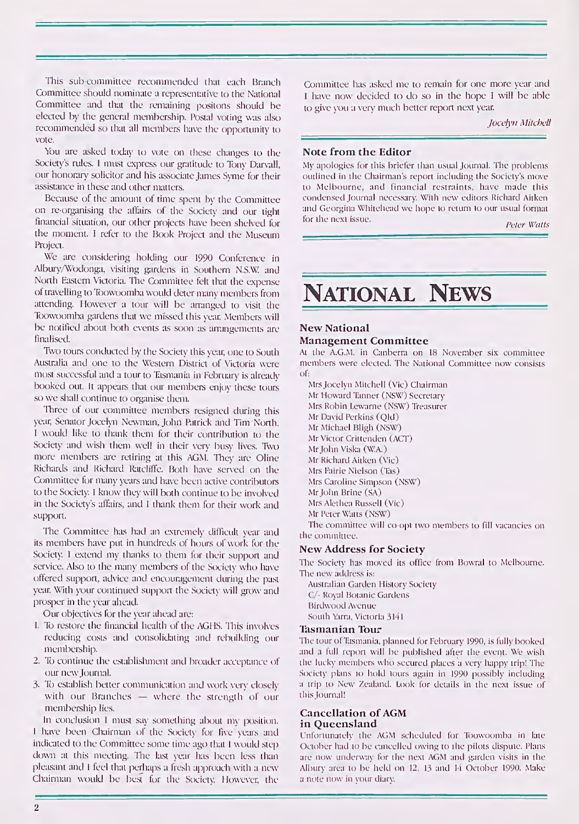This sub committee recommended that each Branch Committee should nominate a representative to the National Committee and that the remaining positons should be elected by the general membership. Postal voting was also recommended so that all members have the opportunity to vote.

You are asked today to vote on these changes to the Society's rules. <sup>I</sup> must express our gratitude to Tony Darvall, our honorary solicitor and his associate James Syme for their assistance in these and other matters.

Because of the amount of time spent by the Committee on re organising the affairs of the Society and our tight financial situation, our other projects have been shelved for the moment. I refer to the Book Project and the Museum Project.

We are considering holding our 1990 Conference in Albury/Wodonga, visiting gardens in Southern N.S.W. and North Eastern Victoria. The Committee felt that the expense of travelling to Toowoomba would deter many members from attending. However a tour will be arranged to visit the Toowoomba gardens that we missed this year. Members will be notified about both events as soon as arrangements are finalised.

Two tours conducted by the Society this year, one to South Australia and one to the Western District of Victoria were most successful and a tour to Tasmania in February is already booked out. It appears that our members enjoy these tours so we shall continue to organise them.

Three of our committee members resigned during this year, Senator Jocelyn Newman, John Patrick and Tim North. <sup>I</sup> would like to thank them for their contribution to the Society and wish them well in their very busy lives. Two more members are retiring at this AGM. They are Oline Richards and Richard Ratcliffe. Both have served on the Committee for many years and have been active contributors to the Society. <sup>I</sup> know they will both continue to be involved in the Society's affairs, and <sup>I</sup> thank them for their work and support.

The Committee has had an extremely difficult year and its members have put in hundreds of hours of work for the Society <sup>1</sup> extend my thanks to them for their support and service. Also to the many members of the Society who have offered support, advice and encouragement during the past year. With your continued support the Society will grow and prosper in the year ahead.

Our objectives for the year ahead are:

- 1. To restore the financial health of the AGHS. This involves reducing costs and consolidating and rebuilding our membership.
- 2. To continue the establishment and broader acceptance of our new Journal.
- 3. To establish better communication and work very closely with our Branches  $-$  where the strength of our membership lies.

In conclusion <sup>1</sup> must say something about my position. <sup>I</sup> have been Chairman of the Society for five years and indicated to the Committee some time ago that <sup>I</sup> would step down at this meeting. The last year has been less than pleasant and <sup>I</sup> feel that perhaps a fresh approach with a new Chairman would be best for the Society. However, the Committee has asked me to remain for one more year and <sup>I</sup> have now decided to do so in the hope I will be able to give you a very much better report next year.

Jocelyn Mitchell

#### Note from the Editor

My apologies for this briefer than usual Journal. The problems outlined in the Chairman's report including the Society's move to Melbourne, and financial restraints, have made this condensed Journal necessary. With new editors Richard Aitken and Georgina Whitehead we hope to return to our usual format for the next issue.

Peter Watts

# National News

#### New National

#### Management Committee

At the A.G.M. in Canberra on 18 November six committee members were elected. The National Committee now consists of:

MrsJocelyn Mitchell (Vic) Chairman Mr Howard Tanner (NSW) Secretary Mrs Robin Lewarne (NSW) Treasurer Mr David Perkins (Qld) Mr Michael Bligh (NSW) Mr Victor Crittenden (ACT) MrJohn Viska (W.A.) Mr Richard Aitken (Vic) Mrs Fairie Nielson (Tas) Mrs Caroline Simpson (NSW) Mr John Brine (SA) Mrs Alethea Russell (Vic) Mr Peter Watts (NSW)

The committee will co opt two members to fill vacancies on the committee.

#### New Address for Society

The Society has moved its office from Bowral to Melbourne. The new address is:

Australian Garden History Society C/- Royal Botanic Gardens Birdwood Avenue South Mirra, Victoria 3141

#### Tasmanian Tour

The tour of Tasmania, planned for February 1990, is fully booked and a full report will be published after the event. We wish the lucky members who secured places a very happy trip! The Society plans to hold tours again in 1990 possibly including a trip to New Zealand. Look for details in the next issue of thisJournal!

#### Cancellation of AGM in Queensland

Unfortunately the AGM scheduled for Toowoomba in late October had to be cancelled owing to the pilots dispute. Plans are now underway for the next AGM and garden visits in the Albury area to be held on 12, <sup>13</sup> and <sup>14</sup> October 1990. Make a note now in your diary.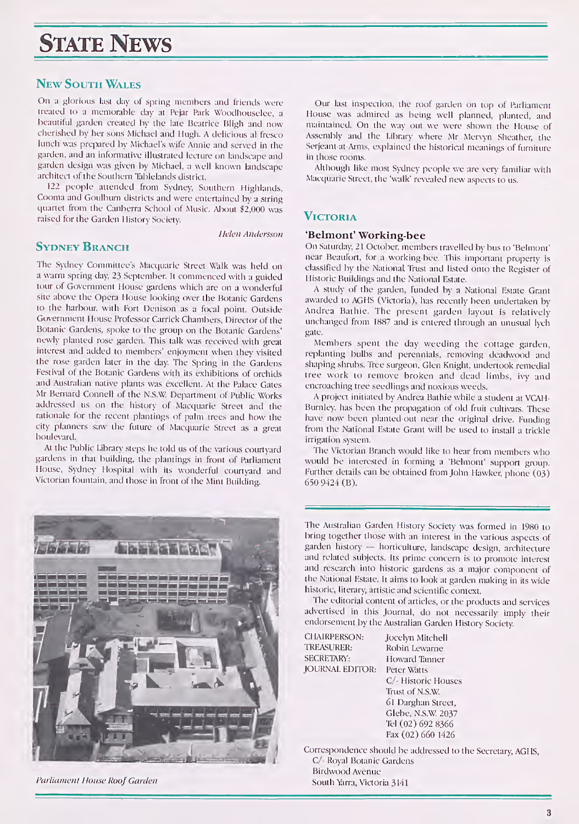## **STATE NEWS**

### New South Wales

On a glorious last day of spring members and friends were treated to a memorable day at Pejar Park Woodhouselee, a beautiful garden created by the late Beatrice Bligh and now cherished by her sons Michael and Hugh. A delicious al fresco lunch was prepared by Michael's wife Annie and served in the garden, and an informative illustrated lecture on landscape and garden design was given by Michael, a well known landscapearchitect of the Southern Tablelands district.

122 people attended from Sydney, Southern Highlands, Cooma and Goulburn districts and were entertained by a string quartet from the Canberra School of Music. About \$2,000 was raised for the Garden History Society.

Helen Andersson

### Sydney Branch

The Sydney Committee's Macquarie Street Walk was held on a warm spring day, 23 September. It commenced with a guided tour of Government House gardens which are on a wonderful site above the Opera House looking over the Botanic Gardens to the harbour, with Fort Denison.as a focal point. Outside Government House Professor Carrick Chambers, Director of the Botanic Gardens, spoke to the group on the Botanic Gardens' newly planted rose garden. This talk was received with great interest and added to members' enjoyment when they visited the rose garden later in the day. The Spring in the Gardens Festival of the Botanic Gardens with its exhibitions of orchids and Australian native plants was excellent. At the Palace Gates Mr Bernard Connell of the N.S.W Department of Public Works addressed us on the history of Macquarie Street and the rationale for the recent plantings of palm trees and how the city planners saw the future of Macquarie Street as a great boulevard.

At the Public Library steps he told us of the various courtyard gardens in that building, the plantings in front of Parliament House, Sydney Hospital with its wonderful courtyard and Victorian fountain, and those in front of the Mint Building.



Parliament House Roof Garden

Our last inspection, the roof garden on top of Parliament House was admired as being well planned, planted, and maintained. On the way out we were shown the House of Assembly and the Library where Mr Mervyn Sheather, the Serjeant at Arms, explained the historical meanings of furniture in those rooms.

Although like most Sydney people we are very familiar with Macquarie Street, the 'walk' revealed new aspects to us.

## **VICTORIA**

#### 'Belmont' Working-bee

On Saturday, 21 October, members travelled by bus to 'Belmont' near Beaufort, for a working-bee. This important property is classified by the National Trust and listed onto the Register of <sup>1</sup> listoric Buildings and the National Estate.

A study of the garden, funded by a National Estate Grant awarded to AGHS (Victoria), has recently been undertaken by Andrea Bathie. The present garden layout is relatively unchanged from 1887 and is entered through an unusual lych gate.

Members spent the day weeding the cottage garden, replanting bulbs and perennials, removing deadwood and shaping shrubs. Tree surgeon, Glen Knight, undertook remedial tree work to remove broken and dead limbs, ivy and encroaching tree seedlings and noxious weeds.

A project initiated by Andrea Bathie while a student at VCAH-Burnley, has been the propagation of old fruit cultivars. These have now been planted out near the original drive. Funding from the National Estate Grant will be used to install a trickle irrigation system.

The Victorian Branch would like to hear from members who would be interested in forming a 'Belmont' support group. Further details can be obtained from John Hawker, phone (03) 650 9424 (B).

The Australian Garden History Society was formed in 1980 to bring together those with an interest in the various aspects of garden history - horticulture, landscape design, architecture and related subjects. Its prime concern is to promote interest and research into historic gardens as a major component of the National Estate. It aims to look at garden making in its wide historic, literary, artistic and scientific context.

The editorial content of articles, or the products and services advertised in this Journal, do not necessarily imply their endorsement by the Australian Garden History Society.

CHAIRPERSON: Jocelyn Mitchell TREASURER: Robin Lewarne<br>SECRETARY: Howard Tanner JOURNAL EDITOR: Peter Watts

Howard Tanner C/- Historic Houses Trust of N.S.W. 61 Darghan Street, Glebe, N.S.W. 2037 Tel (02) 692 8366 Fax (02) 660 1426

Correspondence should be addressed to the Secretary, AGHS, C/- Royal Botanic Gardens Birdwood Avenue South Yarra, Victoria 3141